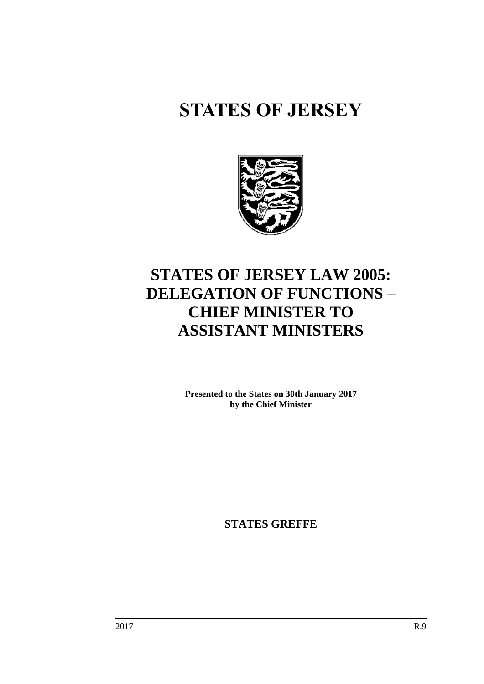# **STATES OF JERSEY**



# **STATES OF JERSEY LAW 2005: DELEGATION OF FUNCTIONS – CHIEF MINISTER TO ASSISTANT MINISTERS**

**Presented to the States on 30th January 2017 by the Chief Minister**

**STATES GREFFE**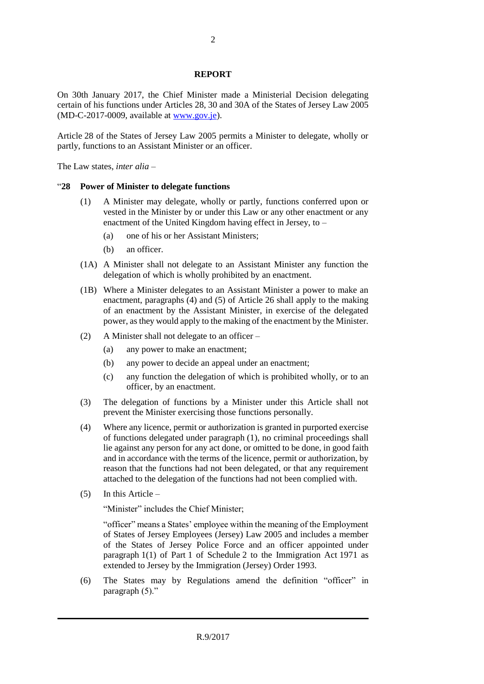#### **REPORT**

On 30th January 2017, the Chief Minister made a Ministerial Decision delegating certain of his functions under Articles 28, 30 and 30A of the States of Jersey Law 2005 (MD-C-2017-0009, available at [www.gov.je\)](http://www.gov.je/).

Article 28 of the States of Jersey Law 2005 permits a Minister to delegate, wholly or partly, functions to an Assistant Minister or an officer.

The Law states, *inter alia* –

#### "**28 Power of Minister to delegate functions**

- (1) A Minister may delegate, wholly or partly, functions conferred upon or vested in the Minister by or under this Law or any other enactment or any enactment of the United Kingdom having effect in Jersey, to –
	- (a) one of his or her Assistant Ministers;
	- (b) an officer.
- (1A) A Minister shall not delegate to an Assistant Minister any function the delegation of which is wholly prohibited by an enactment.
- (1B) Where a Minister delegates to an Assistant Minister a power to make an enactment, paragraphs (4) and (5) of Article 26 shall apply to the making of an enactment by the Assistant Minister, in exercise of the delegated power, as they would apply to the making of the enactment by the Minister.
- (2) A Minister shall not delegate to an officer
	- (a) any power to make an enactment;
	- (b) any power to decide an appeal under an enactment;
	- (c) any function the delegation of which is prohibited wholly, or to an officer, by an enactment.
- (3) The delegation of functions by a Minister under this Article shall not prevent the Minister exercising those functions personally.
- (4) Where any licence, permit or authorization is granted in purported exercise of functions delegated under paragraph (1), no criminal proceedings shall lie against any person for any act done, or omitted to be done, in good faith and in accordance with the terms of the licence, permit or authorization, by reason that the functions had not been delegated, or that any requirement attached to the delegation of the functions had not been complied with.
- (5) In this Article –

"Minister" includes the Chief Minister;

"officer" means a States' employee within the meaning of the Employment of States of Jersey Employees (Jersey) Law 2005 and includes a member of the States of Jersey Police Force and an officer appointed under paragraph 1(1) of Part 1 of Schedule 2 to the Immigration Act 1971 as extended to Jersey by the Immigration (Jersey) Order 1993.

(6) The States may by Regulations amend the definition "officer" in paragraph (5)."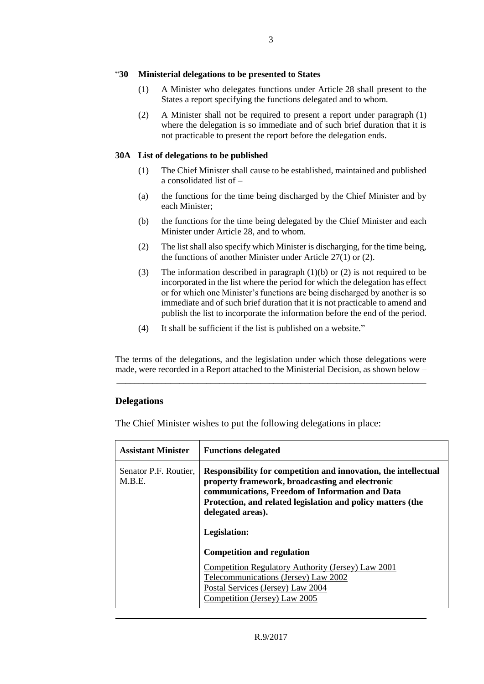#### "**30 Ministerial delegations to be presented to States**

- (1) A Minister who delegates functions under Article 28 shall present to the States a report specifying the functions delegated and to whom.
- (2) A Minister shall not be required to present a report under paragraph (1) where the delegation is so immediate and of such brief duration that it is not practicable to present the report before the delegation ends.

#### **30A List of delegations to be published**

- (1) The Chief Minister shall cause to be established, maintained and published a consolidated list of –
- (a) the functions for the time being discharged by the Chief Minister and by each Minister;
- (b) the functions for the time being delegated by the Chief Minister and each Minister under Article 28, and to whom.
- (2) The list shall also specify which Minister is discharging, for the time being, the functions of another Minister under Article 27(1) or (2).
- (3) The information described in paragraph (1)(b) or (2) is not required to be incorporated in the list where the period for which the delegation has effect or for which one Minister's functions are being discharged by another is so immediate and of such brief duration that it is not practicable to amend and publish the list to incorporate the information before the end of the period.
- (4) It shall be sufficient if the list is published on a website."

The terms of the delegations, and the legislation under which those delegations were made, were recorded in a Report attached to the Ministerial Decision, as shown below – \_\_\_\_\_\_\_\_\_\_\_\_\_\_\_\_\_\_\_\_\_\_\_\_\_\_\_\_\_\_\_\_\_\_\_\_\_\_\_\_\_\_\_\_\_\_\_\_\_\_\_\_\_\_\_\_\_\_\_\_\_\_\_\_\_\_\_\_\_

# **Delegations**

The Chief Minister wishes to put the following delegations in place:

| Senator P.F. Routier,<br>Responsibility for competition and innovation, the intellectual<br>M.B.E.<br>property framework, broadcasting and electronic<br>communications, Freedom of Information and Data<br>Protection, and related legislation and policy matters (the<br>delegated areas). | <b>Assistant Minister</b> | <b>Functions delegated</b> |
|----------------------------------------------------------------------------------------------------------------------------------------------------------------------------------------------------------------------------------------------------------------------------------------------|---------------------------|----------------------------|
| Legislation:<br><b>Competition and regulation</b><br>Competition Regulatory Authority (Jersey) Law 2001<br>Telecommunications (Jersey) Law 2002<br>Postal Services (Jersey) Law 2004<br>Competition (Jersey) Law 2005                                                                        |                           |                            |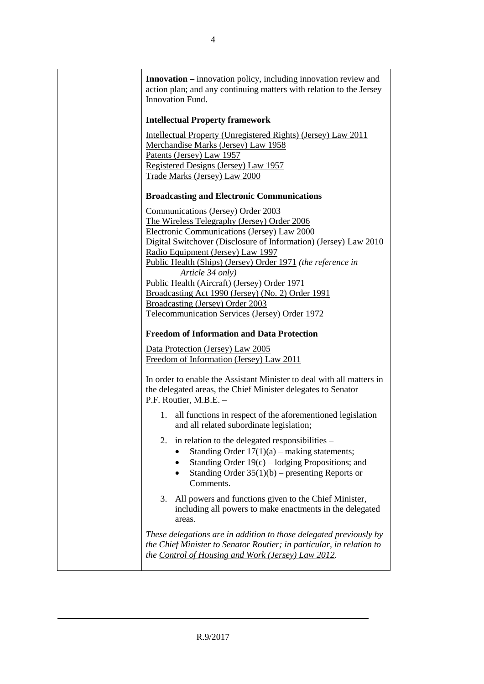**Innovation –** innovation policy, including innovation review and action plan; and any continuing matters with relation to the Jersey Innovation Fund.

#### **Intellectual Property framework**

[Intellectual Property \(Unregistered Rights\) \(Jersey\) Law 2011](https://www.jerseylaw.je/laws/revised/Pages/05.350.aspx) [Merchandise Marks \(Jersey\) Law 1958](https://www.jerseylaw.je/laws/revised/Pages/05.550.aspx) [Patents \(Jersey\) Law 1957](https://www.jerseylaw.je/laws/revised/Pages/05.575.aspx) [Registered Designs \(Jersey\) Law 1957](https://www.jerseylaw.je/laws/revised/Pages/05.700.aspx) [Trade Marks \(Jersey\) Law 2000](https://www.jerseylaw.je/laws/revised/Pages/05.900.aspx)

### **Broadcasting and Electronic Communications**

[Communications \(Jersey\) Order 2003](https://www.jerseylaw.je/laws/revised/Pages/06.117.aspx) [The Wireless Telegraphy \(Jersey\) Order 2006](https://www.jerseylaw.je/laws/revised/Pages/06.748.aspx) [Electronic Communications \(Jersey\) Law 2000](https://www.jerseylaw.je/laws/revised/Pages/04.280.aspx) [Digital Switchover \(Disclosure of Information\) \(Jersey\)](https://www.jerseylaw.je/laws/revised/Pages/06.125.aspx) Law 2010 [Radio Equipment \(Jersey\) Law 1997](https://www.jerseylaw.je/laws/revised/Pages/06.216.aspx) [Public Health \(Ships\) \(Jersey\) Order 1971](https://www.jerseylaw.je/laws/revised/Pages/20.800.60.aspx) *(the reference in Article 34 only)* [Public Health \(Aircraft\) \(Jersey\) Order 1971](https://www.jerseylaw.je/laws/revised/Pages/20.800.30.aspx) [Broadcasting Act 1990 \(Jersey\) \(No.](https://www.jerseylaw.je/laws/revised/Pages/06.036.aspx) 2) Order 1991 [Broadcasting \(Jersey\) Order 2003](https://www.jerseylaw.je/laws/revised/Pages/06.099.aspx) [Telecommunication Services \(Jersey\) Order 1972](https://www.jerseylaw.je/laws/revised/Pages/06.270.aspx)

# **Freedom of Information and Data Protection**

[Data Protection \(Jersey\) Law](https://www.jerseylaw.je/laws/revised/Pages/15.240.aspx) 2005 [Freedom of Information \(Jersey\) Law 2011](https://www.jerseylaw.je/laws/revised/Pages/16.330.aspx)

In order to enable the Assistant Minister to deal with all matters in the delegated areas, the Chief Minister delegates to Senator P.F. Routier, M.B.E. –

- 1. all functions in respect of the aforementioned legislation and all related subordinate legislation;
- 2. in relation to the delegated responsibilities
	- Standing Order  $17(1)(a)$  making statements;
	- Standing Order 19(c) lodging Propositions; and
	- Standing Order 35(1)(b) presenting Reports or Comments.
- 3. All powers and functions given to the Chief Minister, including all powers to make enactments in the delegated areas.

*These delegations are in addition to those delegated previously by the Chief Minister to Senator Routier; in particular, in relation to the [Control of Housing and Work \(Jersey\) Law](https://www.jerseylaw.je/laws/revised/Pages/18.150.aspx) 2012.*